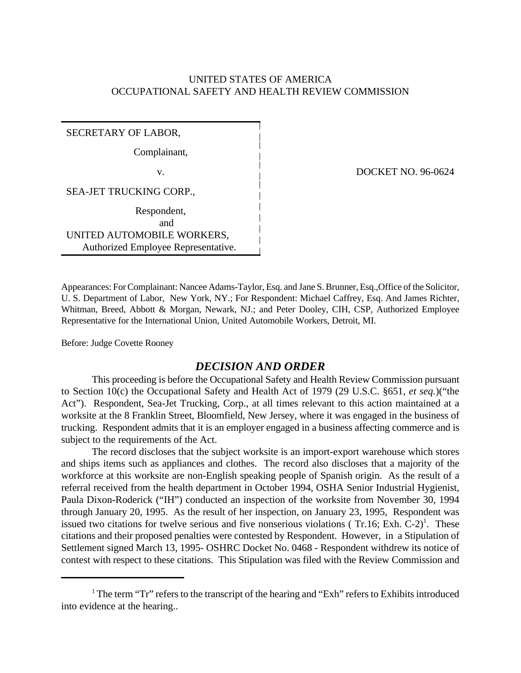# UNITED STATES OF AMERICA OCCUPATIONAL SAFETY AND HEALTH REVIEW COMMISSION

SECRETARY OF LABOR,

Complainant,

SEA-JET TRUCKING CORP.,

Respondent,

 and UNITED AUTOMOBILE WORKERS, Authorized Employee Representative.

v. DOCKET NO. 96-0624

Appearances: For Complainant: Nancee Adams-Taylor, Esq. and Jane S. Brunner, Esq.,Office of the Solicitor, U. S. Department of Labor, New York, NY.; For Respondent: Michael Caffrey, Esq. And James Richter, Whitman, Breed, Abbott & Morgan, Newark, NJ.; and Peter Dooley, CIH, CSP, Authorized Employee Representative for the International Union, United Automobile Workers, Detroit, MI.

Before: Judge Covette Rooney

# *DECISION AND ORDER*

This proceeding is before the Occupational Safety and Health Review Commission pursuant to Section 10(c) the Occupational Safety and Health Act of 1979 (29 U.S.C. §651, *et seq.*)("the Act"). Respondent, Sea-Jet Trucking, Corp., at all times relevant to this action maintained at a worksite at the 8 Franklin Street, Bloomfield, New Jersey, where it was engaged in the business of trucking. Respondent admits that it is an employer engaged in a business affecting commerce and is subject to the requirements of the Act.

The record discloses that the subject worksite is an import-export warehouse which stores and ships items such as appliances and clothes. The record also discloses that a majority of the workforce at this worksite are non-English speaking people of Spanish origin. As the result of a referral received from the health department in October 1994, OSHA Senior Industrial Hygienist, Paula Dixon-Roderick ("IH") conducted an inspection of the worksite from November 30, 1994 through January 20, 1995. As the result of her inspection, on January 23, 1995, Respondent was issued two citations for twelve serious and five nonserious violations (Tr.16; Exh.  $C-2$ )<sup>1</sup>. These citations and their proposed penalties were contested by Respondent. However, in a Stipulation of Settlement signed March 13, 1995- OSHRC Docket No. 0468 - Respondent withdrew its notice of contest with respect to these citations. This Stipulation was filed with the Review Commission and

<sup>&</sup>lt;sup>1</sup> The term "Tr" refers to the transcript of the hearing and "Exh" refers to Exhibits introduced into evidence at the hearing..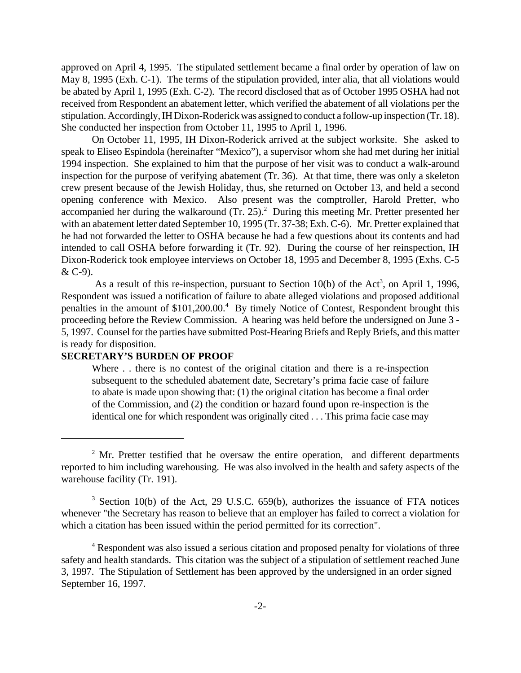approved on April 4, 1995. The stipulated settlement became a final order by operation of law on May 8, 1995 (Exh. C-1). The terms of the stipulation provided, inter alia, that all violations would be abated by April 1, 1995 (Exh. C-2). The record disclosed that as of October 1995 OSHA had not received from Respondent an abatement letter, which verified the abatement of all violations per the stipulation. Accordingly, IH Dixon-Roderick was assigned to conduct a follow-up inspection (Tr. 18). She conducted her inspection from October 11, 1995 to April 1, 1996.

On October 11, 1995, IH Dixon-Roderick arrived at the subject worksite. She asked to speak to Eliseo Espindola (hereinafter "Mexico"), a supervisor whom she had met during her initial 1994 inspection. She explained to him that the purpose of her visit was to conduct a walk-around inspection for the purpose of verifying abatement (Tr. 36). At that time, there was only a skeleton crew present because of the Jewish Holiday, thus, she returned on October 13, and held a second opening conference with Mexico. Also present was the comptroller, Harold Pretter, who accompanied her during the walkaround  $(Tr. 25)^2$  During this meeting Mr. Pretter presented her with an abatement letter dated September 10, 1995 (Tr. 37-38; Exh. C-6). Mr. Pretter explained that he had not forwarded the letter to OSHA because he had a few questions about its contents and had intended to call OSHA before forwarding it (Tr. 92). During the course of her reinspection, IH Dixon-Roderick took employee interviews on October 18, 1995 and December 8, 1995 (Exhs. C-5 & C-9).

As a result of this re-inspection, pursuant to Section 10(b) of the Act<sup>3</sup>, on April 1, 1996, Respondent was issued a notification of failure to abate alleged violations and proposed additional penalties in the amount of \$101,200.00.<sup>4</sup> By timely Notice of Contest, Respondent brought this proceeding before the Review Commission. A hearing was held before the undersigned on June 3 - 5, 1997. Counsel for the parties have submitted Post-Hearing Briefs and Reply Briefs, and this matter is ready for disposition.

### **SECRETARY'S BURDEN OF PROOF**

Where . . there is no contest of the original citation and there is a re-inspection subsequent to the scheduled abatement date, Secretary's prima facie case of failure to abate is made upon showing that: (1) the original citation has become a final order of the Commission, and (2) the condition or hazard found upon re-inspection is the identical one for which respondent was originally cited . . . This prima facie case may

 $2^2$  Mr. Pretter testified that he oversaw the entire operation, and different departments reported to him including warehousing. He was also involved in the health and safety aspects of the warehouse facility (Tr. 191).

<sup>&</sup>lt;sup>3</sup> Section 10(b) of the Act, 29 U.S.C. 659(b), authorizes the issuance of FTA notices whenever "the Secretary has reason to believe that an employer has failed to correct a violation for which a citation has been issued within the period permitted for its correction".

<sup>&</sup>lt;sup>4</sup> Respondent was also issued a serious citation and proposed penalty for violations of three safety and health standards. This citation was the subject of a stipulation of settlement reached June 3, 1997. The Stipulation of Settlement has been approved by the undersigned in an order signed September 16, 1997.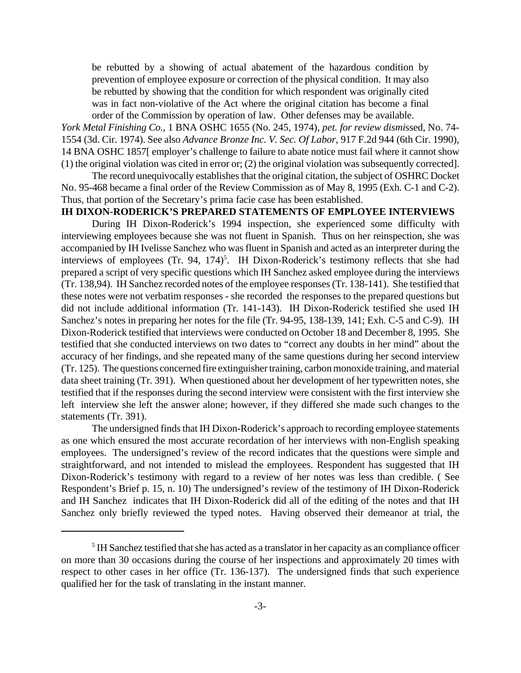be rebutted by a showing of actual abatement of the hazardous condition by prevention of employee exposure or correction of the physical condition. It may also be rebutted by showing that the condition for which respondent was originally cited was in fact non-violative of the Act where the original citation has become a final order of the Commission by operation of law. Other defenses may be available.

*York Metal Finishing Co.*, 1 BNA OSHC 1655 (No. 245, 1974), *pet. for review dismi*ssed, No. 74- 1554 (3d. Cir. 1974). See also *Advance Bronze Inc. V. Sec. Of Labor*, 917 F.2d 944 (6th Cir. 1990), 14 BNA OSHC 1857[ employer's challenge to failure to abate notice must fail where it cannot show (1) the original violation was cited in error or; (2) the original violation was subsequently corrected].

The record unequivocally establishes that the original citation, the subject of OSHRC Docket No. 95-468 became a final order of the Review Commission as of May 8, 1995 (Exh. C-1 and C-2). Thus, that portion of the Secretary's prima facie case has been established.

# **IH DIXON-RODERICK'S PREPARED STATEMENTS OF EMPLOYEE INTERVIEWS**

During IH Dixon-Roderick's 1994 inspection, she experienced some difficulty with interviewing employees because she was not fluent in Spanish. Thus on her reinspection, she was accompanied by IH Ivelisse Sanchez who was fluent in Spanish and acted as an interpreter during the interviews of employees  $(Tr. 94, 174)^5$ . IH Dixon-Roderick's testimony reflects that she had prepared a script of very specific questions which IH Sanchez asked employee during the interviews (Tr. 138,94). IH Sanchez recorded notes of the employee responses (Tr. 138-141). She testified that these notes were not verbatim responses - she recorded the responses to the prepared questions but did not include additional information (Tr. 141-143). IH Dixon-Roderick testified she used IH Sanchez's notes in preparing her notes for the file (Tr. 94-95, 138-139, 141; Exh. C-5 and C-9). IH Dixon-Roderick testified that interviews were conducted on October 18 and December 8, 1995. She testified that she conducted interviews on two dates to "correct any doubts in her mind" about the accuracy of her findings, and she repeated many of the same questions during her second interview (Tr. 125). The questions concerned fire extinguisher training, carbon monoxide training, and material data sheet training (Tr. 391). When questioned about her development of her typewritten notes, she testified that if the responses during the second interview were consistent with the first interview she left interview she left the answer alone; however, if they differed she made such changes to the statements (Tr. 391).

The undersigned finds that IH Dixon-Roderick's approach to recording employee statements as one which ensured the most accurate recordation of her interviews with non-English speaking employees. The undersigned's review of the record indicates that the questions were simple and straightforward, and not intended to mislead the employees. Respondent has suggested that IH Dixon-Roderick's testimony with regard to a review of her notes was less than credible. ( See Respondent's Brief p. 15, n. 10) The undersigned's review of the testimony of IH Dixon-Roderick and IH Sanchez indicates that IH Dixon-Roderick did all of the editing of the notes and that IH Sanchez only briefly reviewed the typed notes. Having observed their demeanor at trial, the

<sup>&</sup>lt;sup>5</sup> IH Sanchez testified that she has acted as a translator in her capacity as an compliance officer on more than 30 occasions during the course of her inspections and approximately 20 times with respect to other cases in her office (Tr. 136-137). The undersigned finds that such experience qualified her for the task of translating in the instant manner.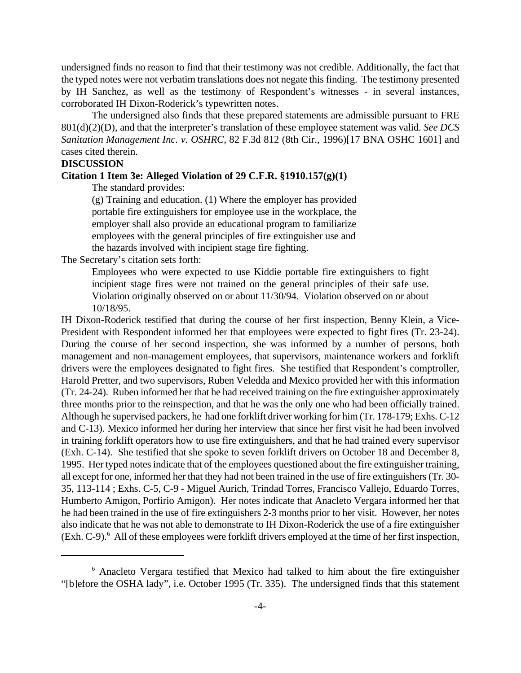undersigned finds no reason to find that their testimony was not credible. Additionally, the fact that the typed notes were not verbatim translations does not negate this finding. The testimony presented by IH Sanchez, as well as the testimony of Respondent's witnesses - in several instances, corroborated IH Dixon-Roderick's typewritten notes.

The undersigned also finds that these prepared statements are admissible pursuant to FRE 801(d)(2)(D), and that the interpreter's translation of these employee statement was valid. *See DCS Sanitation Management Inc. v. OSHRC,* 82 F.3d 812 (8th Cir., 1996)[17 BNA OSHC 1601] and cases cited therein.

#### **DISCUSSION**

### **Citation 1 Item 3e: Alleged Violation of 29 C.F.R. §1910.157(g)(1)**

The standard provides:

(g) Training and education. (1) Where the employer has provided portable fire extinguishers for employee use in the workplace, the employer shall also provide an educational program to familiarize employees with the general principles of fire extinguisher use and the hazards involved with incipient stage fire fighting.

The Secretary's citation sets forth:

Employees who were expected to use Kiddie portable fire extinguishers to fight incipient stage fires were not trained on the general principles of their safe use. Violation originally observed on or about 11/30/94. Violation observed on or about 10/18/95.

IH Dixon-Roderick testified that during the course of her first inspection, Benny Klein, a Vice-President with Respondent informed her that employees were expected to fight fires (Tr. 23-24). During the course of her second inspection, she was informed by a number of persons, both management and non-management employees, that supervisors, maintenance workers and forklift drivers were the employees designated to fight fires. She testified that Respondent's comptroller, Harold Pretter, and two supervisors, Ruben Veledda and Mexico provided her with this information (Tr. 24-24). Ruben informed her that he had received training on the fire extinguisher approximately three months prior to the reinspection, and that he was the only one who had been officially trained. Although he supervised packers, he had one forklift driver working for him (Tr. 178-179; Exhs. C-12 and C-13). Mexico informed her during her interview that since her first visit he had been involved in training forklift operators how to use fire extinguishers, and that he had trained every supervisor (Exh. C-14). She testified that she spoke to seven forklift drivers on October 18 and December 8, 1995. Her typed notes indicate that of the employees questioned about the fire extinguisher training, all except for one, informed her that they had not been trained in the use of fire extinguishers (Tr. 30- 35, 113-114 ; Exhs. C-5, C-9 - Miguel Aurich, Trindad Torres, Francisco Vallejo, Eduardo Torres, Humberto Amigon, Porfirio Amigon). Her notes indicate that Anacleto Vergara informed her that he had been trained in the use of fire extinguishers 2-3 months prior to her visit. However, her notes also indicate that he was not able to demonstrate to IH Dixon-Roderick the use of a fire extinguisher (Exh. C-9).<sup>6</sup> All of these employees were forklift drivers employed at the time of her first inspection,

<sup>&</sup>lt;sup>6</sup> Anacleto Vergara testified that Mexico had talked to him about the fire extinguisher "[b]efore the OSHA lady", i.e. October 1995 (Tr. 335). The undersigned finds that this statement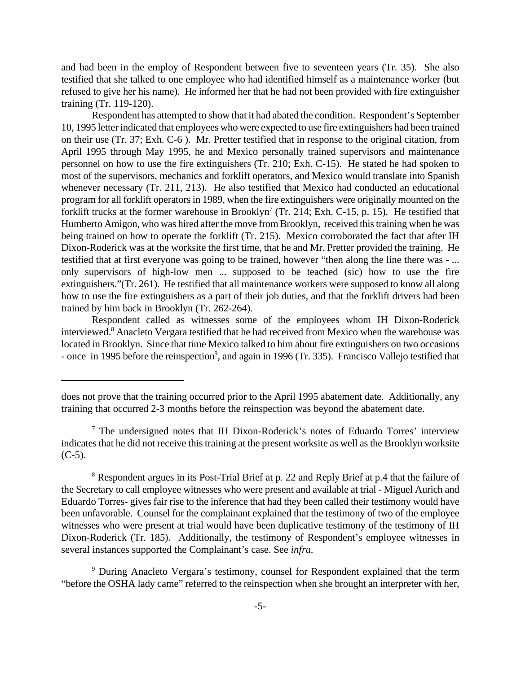and had been in the employ of Respondent between five to seventeen years (Tr. 35). She also testified that she talked to one employee who had identified himself as a maintenance worker (but refused to give her his name). He informed her that he had not been provided with fire extinguisher training (Tr. 119-120).

Respondent has attempted to show that it had abated the condition. Respondent's September 10, 1995 letter indicated that employees who were expected to use fire extinguishers had been trained on their use (Tr. 37; Exh. C-6 ). Mr. Pretter testified that in response to the original citation, from April 1995 through May 1995, he and Mexico personally trained supervisors and maintenance personnel on how to use the fire extinguishers (Tr. 210; Exh. C-15). He stated he had spoken to most of the supervisors, mechanics and forklift operators, and Mexico would translate into Spanish whenever necessary (Tr. 211, 213). He also testified that Mexico had conducted an educational program for all forklift operators in 1989, when the fire extinguishers were originally mounted on the forklift trucks at the former warehouse in Brooklyn<sup>7</sup> (Tr. 214; Exh. C-15, p. 15). He testified that Humberto Amigon, who was hired after the move from Brooklyn, received this training when he was being trained on how to operate the forklift (Tr. 215). Mexico corroborated the fact that after IH Dixon-Roderick was at the worksite the first time, that he and Mr. Pretter provided the training. He testified that at first everyone was going to be trained, however "then along the line there was - ... only supervisors of high-low men ... supposed to be teached (sic) how to use the fire extinguishers."(Tr. 261). He testified that all maintenance workers were supposed to know all along how to use the fire extinguishers as a part of their job duties, and that the forklift drivers had been trained by him back in Brooklyn (Tr. 262-264).

Respondent called as witnesses some of the employees whom IH Dixon-Roderick interviewed.<sup>8</sup> Anacleto Vergara testified that he had received from Mexico when the warehouse was located in Brooklyn. Since that time Mexico talked to him about fire extinguishers on two occasions - once in 1995 before the reinspection<sup>9</sup>, and again in 1996 (Tr. 335). Francisco Vallejo testified that

<sup>8</sup> Respondent argues in its Post-Trial Brief at p. 22 and Reply Brief at p.4 that the failure of the Secretary to call employee witnesses who were present and available at trial - Miguel Aurich and Eduardo Torres- gives fair rise to the inference that had they been called their testimony would have been unfavorable. Counsel for the complainant explained that the testimony of two of the employee witnesses who were present at trial would have been duplicative testimony of the testimony of IH Dixon-Roderick (Tr. 185). Additionally, the testimony of Respondent's employee witnesses in several instances supported the Complainant's case. See *infra.*

<sup>9</sup> During Anacleto Vergara's testimony, counsel for Respondent explained that the term "before the OSHA lady came" referred to the reinspection when she brought an interpreter with her,

does not prove that the training occurred prior to the April 1995 abatement date. Additionally, any training that occurred 2-3 months before the reinspection was beyond the abatement date.

<sup>&</sup>lt;sup>7</sup> The undersigned notes that IH Dixon-Roderick's notes of Eduardo Torres' interview indicates that he did not receive this training at the present worksite as well as the Brooklyn worksite  $(C-5)$ .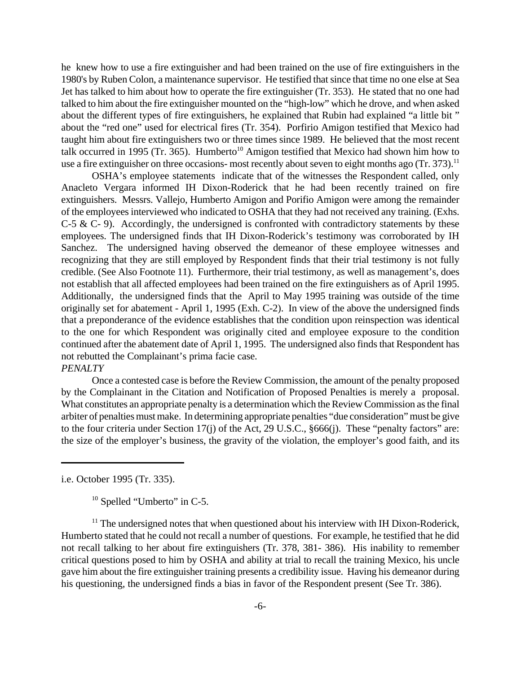he knew how to use a fire extinguisher and had been trained on the use of fire extinguishers in the 1980's by Ruben Colon, a maintenance supervisor. He testified that since that time no one else at Sea Jet has talked to him about how to operate the fire extinguisher (Tr. 353). He stated that no one had talked to him about the fire extinguisher mounted on the "high-low" which he drove, and when asked about the different types of fire extinguishers, he explained that Rubin had explained "a little bit " about the "red one" used for electrical fires (Tr. 354). Porfirio Amigon testified that Mexico had taught him about fire extinguishers two or three times since 1989. He believed that the most recent talk occurred in 1995 (Tr. 365). Humberto<sup>10</sup> Amigon testified that Mexico had shown him how to use a fire extinguisher on three occasions- most recently about seven to eight months ago (Tr. 373).<sup>11</sup>

OSHA's employee statements indicate that of the witnesses the Respondent called, only Anacleto Vergara informed IH Dixon-Roderick that he had been recently trained on fire extinguishers. Messrs. Vallejo, Humberto Amigon and Porifio Amigon were among the remainder of the employees interviewed who indicated to OSHA that they had not received any training. (Exhs. C-5 & C- 9). Accordingly, the undersigned is confronted with contradictory statements by these employees. The undersigned finds that IH Dixon-Roderick's testimony was corroborated by IH Sanchez. The undersigned having observed the demeanor of these employee witnesses and recognizing that they are still employed by Respondent finds that their trial testimony is not fully credible. (See Also Footnote 11). Furthermore, their trial testimony, as well as management's, does not establish that all affected employees had been trained on the fire extinguishers as of April 1995. Additionally, the undersigned finds that the April to May 1995 training was outside of the time originally set for abatement - April 1, 1995 (Exh. C-2). In view of the above the undersigned finds that a preponderance of the evidence establishes that the condition upon reinspection was identical to the one for which Respondent was originally cited and employee exposure to the condition continued after the abatement date of April 1, 1995. The undersigned also finds that Respondent has not rebutted the Complainant's prima facie case.

# *PENALTY*

Once a contested case is before the Review Commission, the amount of the penalty proposed by the Complainant in the Citation and Notification of Proposed Penalties is merely a proposal. What constitutes an appropriate penalty is a determination which the Review Commission as the final arbiter of penalties must make.In determining appropriate penalties "due consideration" must be give to the four criteria under Section 17(j) of the Act, 29 U.S.C., §666(j). These "penalty factors" are: the size of the employer's business, the gravity of the violation, the employer's good faith, and its

i.e. October 1995 (Tr. 335).

<sup>10</sup> Spelled "Umberto" in C-5.

 $11$  The undersigned notes that when questioned about his interview with IH Dixon-Roderick, Humberto stated that he could not recall a number of questions. For example, he testified that he did not recall talking to her about fire extinguishers (Tr. 378, 381- 386). His inability to remember critical questions posed to him by OSHA and ability at trial to recall the training Mexico, his uncle gave him about the fire extinguisher training presents a credibility issue. Having his demeanor during his questioning, the undersigned finds a bias in favor of the Respondent present (See Tr. 386).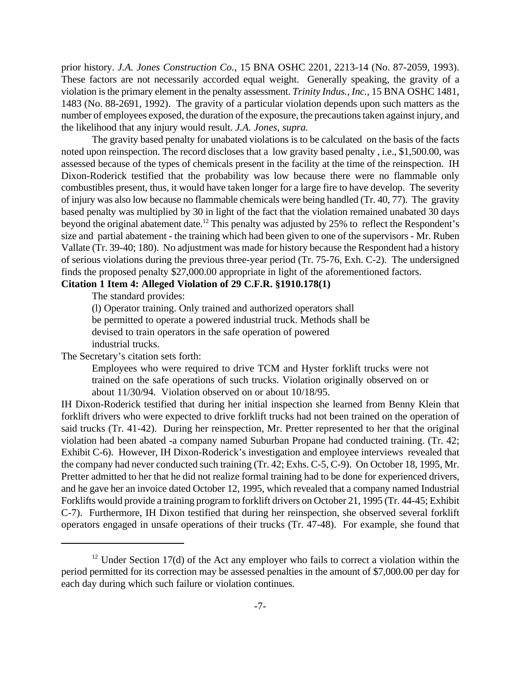prior history. *J.A. Jones Construction Co.*, 15 BNA OSHC 2201, 2213-14 (No. 87-2059, 1993). These factors are not necessarily accorded equal weight. Generally speaking, the gravity of a violation is the primary element in the penalty assessment. *Trinity Indus., Inc.,* 15 BNA OSHC 1481, 1483 (No. 88-2691, 1992). The gravity of a particular violation depends upon such matters as the number of employees exposed, the duration of the exposure, the precautions taken against injury, and the likelihood that any injury would result. *J.A. Jones, supra.*

The gravity based penalty for unabated violations is to be calculated on the basis of the facts noted upon reinspection. The record discloses that a low gravity based penalty , i.e., \$1,500.00, was assessed because of the types of chemicals present in the facility at the time of the reinspection. IH Dixon-Roderick testified that the probability was low because there were no flammable only combustibles present, thus, it would have taken longer for a large fire to have develop. The severity of injury was also low because no flammable chemicals were being handled (Tr. 40, 77). The gravity based penalty was multiplied by 30 in light of the fact that the violation remained unabated 30 days beyond the original abatement date.<sup>12</sup> This penalty was adjusted by 25% to reflect the Respondent's size and partial abatement - the training which had been given to one of the supervisors - Mr. Ruben Vallate (Tr. 39-40; 180). No adjustment was made for history because the Respondent had a history of serious violations during the previous three-year period (Tr. 75-76, Exh. C-2). The undersigned finds the proposed penalty \$27,000.00 appropriate in light of the aforementioned factors.

# **Citation 1 Item 4: Alleged Violation of 29 C.F.R. §1910.178(1)**

The standard provides:

(l) Operator training. Only trained and authorized operators shall be permitted to operate a powered industrial truck. Methods shall be devised to train operators in the safe operation of powered industrial trucks.

The Secretary's citation sets forth:

Employees who were required to drive TCM and Hyster forklift trucks were not trained on the safe operations of such trucks. Violation originally observed on or about 11/30/94. Violation observed on or about 10/18/95.

IH Dixon-Roderick testified that during her initial inspection she learned from Benny Klein that forklift drivers who were expected to drive forklift trucks had not been trained on the operation of said trucks (Tr. 41-42). During her reinspection, Mr. Pretter represented to her that the original violation had been abated -a company named Suburban Propane had conducted training. (Tr. 42; Exhibit C-6). However, IH Dixon-Roderick's investigation and employee interviews revealed that the company had never conducted such training (Tr. 42; Exhs. C-5, C-9). On October 18, 1995, Mr. Pretter admitted to her that he did not realize formal training had to be done for experienced drivers, and he gave her an invoice dated October 12, 1995, which revealed that a company named Industrial Forklifts would provide a training program to forklift drivers on October 21, 1995 (Tr. 44-45; Exhibit C-7). Furthermore, IH Dixon testified that during her reinspection, she observed several forklift operators engaged in unsafe operations of their trucks (Tr. 47-48). For example, she found that

 $12$  Under Section 17(d) of the Act any employer who fails to correct a violation within the period permitted for its correction may be assessed penalties in the amount of \$7,000.00 per day for each day during which such failure or violation continues.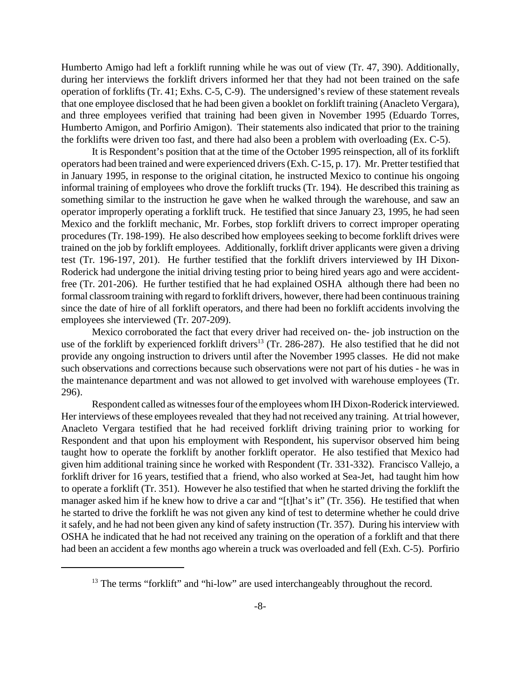Humberto Amigo had left a forklift running while he was out of view (Tr. 47, 390). Additionally, during her interviews the forklift drivers informed her that they had not been trained on the safe operation of forklifts (Tr. 41; Exhs. C-5, C-9). The undersigned's review of these statement reveals that one employee disclosed that he had been given a booklet on forklift training (Anacleto Vergara), and three employees verified that training had been given in November 1995 (Eduardo Torres, Humberto Amigon, and Porfirio Amigon). Their statements also indicated that prior to the training the forklifts were driven too fast, and there had also been a problem with overloading (Ex. C-5).

It is Respondent's position that at the time of the October 1995 reinspection, all of its forklift operators had been trained and were experienced drivers (Exh. C-15, p. 17). Mr. Pretter testified that in January 1995, in response to the original citation, he instructed Mexico to continue his ongoing informal training of employees who drove the forklift trucks (Tr. 194). He described this training as something similar to the instruction he gave when he walked through the warehouse, and saw an operator improperly operating a forklift truck. He testified that since January 23, 1995, he had seen Mexico and the forklift mechanic, Mr. Forbes, stop forklift drivers to correct improper operating procedures (Tr. 198-199). He also described how employees seeking to become forklift drives were trained on the job by forklift employees. Additionally, forklift driver applicants were given a driving test (Tr. 196-197, 201). He further testified that the forklift drivers interviewed by IH Dixon-Roderick had undergone the initial driving testing prior to being hired years ago and were accidentfree (Tr. 201-206). He further testified that he had explained OSHA although there had been no formal classroom training with regard to forklift drivers, however, there had been continuous training since the date of hire of all forklift operators, and there had been no forklift accidents involving the employees she interviewed (Tr. 207-209).

Mexico corroborated the fact that every driver had received on- the- job instruction on the use of the forklift by experienced forklift drivers<sup>13</sup> (Tr. 286-287). He also testified that he did not provide any ongoing instruction to drivers until after the November 1995 classes. He did not make such observations and corrections because such observations were not part of his duties - he was in the maintenance department and was not allowed to get involved with warehouse employees (Tr. 296).

Respondent called as witnesses four of the employees whom IH Dixon-Roderick interviewed. Her interviews of these employees revealed that they had not received any training. At trial however, Anacleto Vergara testified that he had received forklift driving training prior to working for Respondent and that upon his employment with Respondent, his supervisor observed him being taught how to operate the forklift by another forklift operator. He also testified that Mexico had given him additional training since he worked with Respondent (Tr. 331-332). Francisco Vallejo, a forklift driver for 16 years, testified that a friend, who also worked at Sea-Jet, had taught him how to operate a forklift (Tr. 351). However he also testified that when he started driving the forklift the manager asked him if he knew how to drive a car and "[t]hat's it" (Tr. 356). He testified that when he started to drive the forklift he was not given any kind of test to determine whether he could drive it safely, and he had not been given any kind of safety instruction (Tr. 357). During his interview with OSHA he indicated that he had not received any training on the operation of a forklift and that there had been an accident a few months ago wherein a truck was overloaded and fell (Exh. C-5). Porfirio

<sup>&</sup>lt;sup>13</sup> The terms "forklift" and "hi-low" are used interchangeably throughout the record.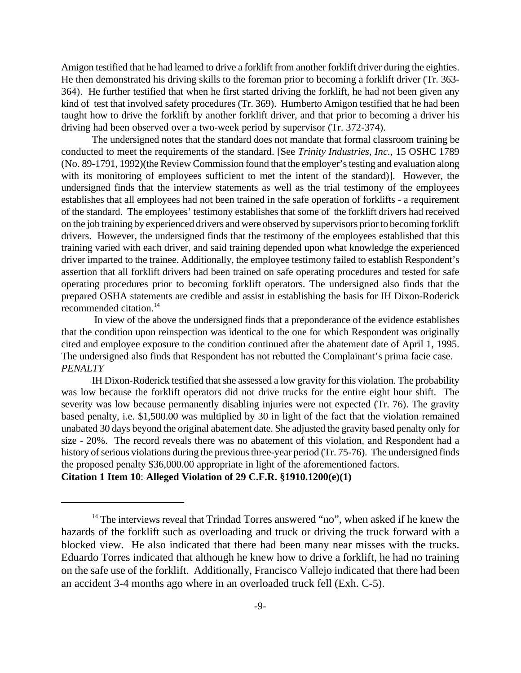Amigon testified that he had learned to drive a forklift from another forklift driver during the eighties. He then demonstrated his driving skills to the foreman prior to becoming a forklift driver (Tr. 363- 364). He further testified that when he first started driving the forklift, he had not been given any kind of test that involved safety procedures (Tr. 369). Humberto Amigon testified that he had been taught how to drive the forklift by another forklift driver, and that prior to becoming a driver his driving had been observed over a two-week period by supervisor (Tr. 372-374).

The undersigned notes that the standard does not mandate that formal classroom training be conducted to meet the requirements of the standard. [See *Trinity Industries, Inc.*, 15 OSHC 1789 (No. 89-1791, 1992)(the Review Commission found that the employer's testing and evaluation along with its monitoring of employees sufficient to met the intent of the standard)]. However, the undersigned finds that the interview statements as well as the trial testimony of the employees establishes that all employees had not been trained in the safe operation of forklifts - a requirement of the standard. The employees' testimony establishes that some of the forklift drivers had received on the job training by experienced drivers and were observed by supervisors prior to becoming forklift drivers. However, the undersigned finds that the testimony of the employees established that this training varied with each driver, and said training depended upon what knowledge the experienced driver imparted to the trainee. Additionally, the employee testimony failed to establish Respondent's assertion that all forklift drivers had been trained on safe operating procedures and tested for safe operating procedures prior to becoming forklift operators. The undersigned also finds that the prepared OSHA statements are credible and assist in establishing the basis for IH Dixon-Roderick recommended citation.<sup>14</sup>

 In view of the above the undersigned finds that a preponderance of the evidence establishes that the condition upon reinspection was identical to the one for which Respondent was originally cited and employee exposure to the condition continued after the abatement date of April 1, 1995. The undersigned also finds that Respondent has not rebutted the Complainant's prima facie case. *PENALTY*

IH Dixon-Roderick testified that she assessed a low gravity for this violation. The probability was low because the forklift operators did not drive trucks for the entire eight hour shift. The severity was low because permanently disabling injuries were not expected (Tr. 76). The gravity based penalty, i.e. \$1,500.00 was multiplied by 30 in light of the fact that the violation remained unabated 30 days beyond the original abatement date. She adjusted the gravity based penalty only for size - 20%. The record reveals there was no abatement of this violation, and Respondent had a history of serious violations during the previous three-year period (Tr. 75-76). The undersigned finds the proposed penalty \$36,000.00 appropriate in light of the aforementioned factors. **Citation 1 Item 10**: **Alleged Violation of 29 C.F.R. §1910.1200(e)(1)**

an accident 3-4 months ago where in an overloaded truck fell (Exh. C-5).

<sup>&</sup>lt;sup>14</sup> The interviews reveal that Trindad Torres answered "no", when asked if he knew the hazards of the forklift such as overloading and truck or driving the truck forward with a blocked view. He also indicated that there had been many near misses with the trucks. Eduardo Torres indicated that although he knew how to drive a forklift, he had no training on the safe use of the forklift. Additionally, Francisco Vallejo indicated that there had been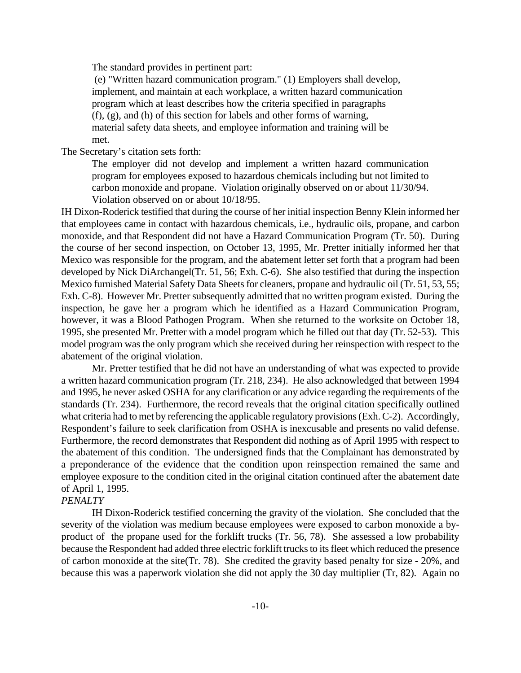The standard provides in pertinent part:

 (e) "Written hazard communication program." (1) Employers shall develop, implement, and maintain at each workplace, a written hazard communication program which at least describes how the criteria specified in paragraphs (f), (g), and (h) of this section for labels and other forms of warning, material safety data sheets, and employee information and training will be met.

The Secretary's citation sets forth:

The employer did not develop and implement a written hazard communication program for employees exposed to hazardous chemicals including but not limited to carbon monoxide and propane. Violation originally observed on or about 11/30/94. Violation observed on or about 10/18/95.

IH Dixon-Roderick testified that during the course of her initial inspection Benny Klein informed her that employees came in contact with hazardous chemicals, i.e., hydraulic oils, propane, and carbon monoxide, and that Respondent did not have a Hazard Communication Program (Tr. 50). During the course of her second inspection, on October 13, 1995, Mr. Pretter initially informed her that Mexico was responsible for the program, and the abatement letter set forth that a program had been developed by Nick DiArchangel(Tr. 51, 56; Exh. C-6). She also testified that during the inspection Mexico furnished Material Safety Data Sheets for cleaners, propane and hydraulic oil (Tr. 51, 53, 55; Exh. C-8). However Mr. Pretter subsequently admitted that no written program existed. During the inspection, he gave her a program which he identified as a Hazard Communication Program, however, it was a Blood Pathogen Program. When she returned to the worksite on October 18, 1995, she presented Mr. Pretter with a model program which he filled out that day (Tr. 52-53). This model program was the only program which she received during her reinspection with respect to the abatement of the original violation.

Mr. Pretter testified that he did not have an understanding of what was expected to provide a written hazard communication program (Tr. 218, 234). He also acknowledged that between 1994 and 1995, he never asked OSHA for any clarification or any advice regarding the requirements of the standards (Tr. 234). Furthermore, the record reveals that the original citation specifically outlined what criteria had to met by referencing the applicable regulatory provisions (Exh. C-2). Accordingly, Respondent's failure to seek clarification from OSHA is inexcusable and presents no valid defense. Furthermore, the record demonstrates that Respondent did nothing as of April 1995 with respect to the abatement of this condition. The undersigned finds that the Complainant has demonstrated by a preponderance of the evidence that the condition upon reinspection remained the same and employee exposure to the condition cited in the original citation continued after the abatement date of April 1, 1995.

### *PENALTY*

IH Dixon-Roderick testified concerning the gravity of the violation. She concluded that the severity of the violation was medium because employees were exposed to carbon monoxide a byproduct of the propane used for the forklift trucks (Tr. 56, 78). She assessed a low probability because the Respondent had added three electric forklift trucks to its fleet which reduced the presence of carbon monoxide at the site(Tr. 78). She credited the gravity based penalty for size - 20%, and because this was a paperwork violation she did not apply the 30 day multiplier (Tr, 82). Again no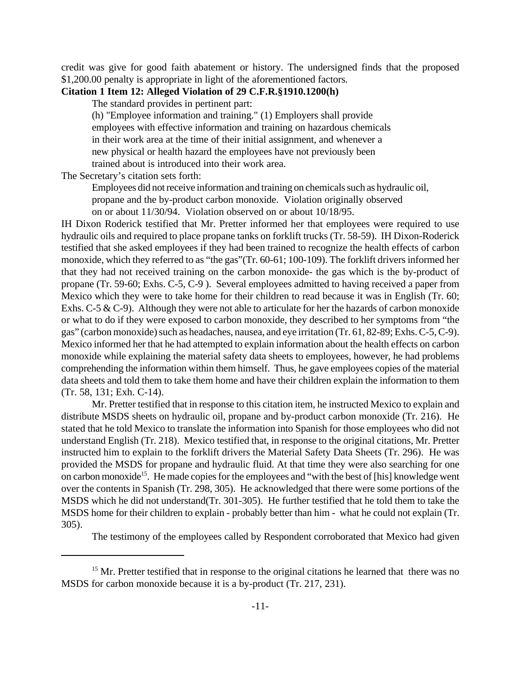credit was give for good faith abatement or history. The undersigned finds that the proposed \$1,200.00 penalty is appropriate in light of the aforementioned factors.

### **Citation 1 Item 12: Alleged Violation of 29 C.F.R.§1910.1200(h)**

The standard provides in pertinent part:

(h) "Employee information and training." (1) Employers shall provide employees with effective information and training on hazardous chemicals in their work area at the time of their initial assignment, and whenever a new physical or health hazard the employees have not previously been trained about is introduced into their work area.

The Secretary's citation sets forth:

Employees did not receive information and training on chemicals such as hydraulic oil,

propane and the by-product carbon monoxide. Violation originally observed

on or about 11/30/94. Violation observed on or about 10/18/95.

IH Dixon Roderick testified that Mr. Pretter informed her that employees were required to use hydraulic oils and required to place propane tanks on forklift trucks (Tr. 58-59). IH Dixon-Roderick testified that she asked employees if they had been trained to recognize the health effects of carbon monoxide, which they referred to as "the gas"(Tr. 60-61; 100-109). The forklift drivers informed her that they had not received training on the carbon monoxide- the gas which is the by-product of propane (Tr. 59-60; Exhs. C-5, C-9 ). Several employees admitted to having received a paper from Mexico which they were to take home for their children to read because it was in English (Tr. 60; Exhs. C-5 & C-9). Although they were not able to articulate for her the hazards of carbon monoxide or what to do if they were exposed to carbon monoxide, they described to her symptoms from "the gas" (carbon monoxide) such as headaches, nausea, and eye irritation (Tr. 61, 82-89; Exhs. C-5, C-9). Mexico informed her that he had attempted to explain information about the health effects on carbon monoxide while explaining the material safety data sheets to employees, however, he had problems comprehending the information within them himself. Thus, he gave employees copies of the material data sheets and told them to take them home and have their children explain the information to them (Tr. 58, 131; Exh. C-14).

Mr. Pretter testified that in response to this citation item, he instructed Mexico to explain and distribute MSDS sheets on hydraulic oil, propane and by-product carbon monoxide (Tr. 216). He stated that he told Mexico to translate the information into Spanish for those employees who did not understand English (Tr. 218). Mexico testified that, in response to the original citations, Mr. Pretter instructed him to explain to the forklift drivers the Material Safety Data Sheets (Tr. 296). He was provided the MSDS for propane and hydraulic fluid. At that time they were also searching for one on carbon monoxide<sup>15</sup>. He made copies for the employees and "with the best of [his] knowledge went over the contents in Spanish (Tr. 298, 305). He acknowledged that there were some portions of the MSDS which he did not understand(Tr. 301-305). He further testified that he told them to take the MSDS home for their children to explain - probably better than him - what he could not explain (Tr. 305).

The testimony of the employees called by Respondent corroborated that Mexico had given

 $15$  Mr. Pretter testified that in response to the original citations he learned that there was no MSDS for carbon monoxide because it is a by-product (Tr. 217, 231).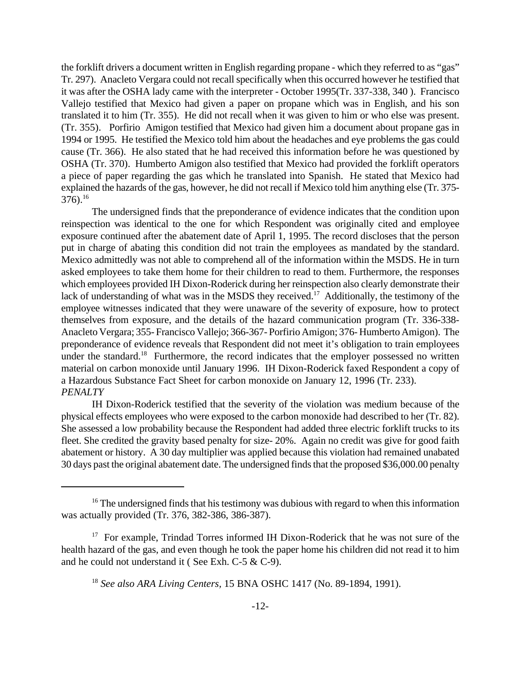the forklift drivers a document written in English regarding propane - which they referred to as "gas" Tr. 297). Anacleto Vergara could not recall specifically when this occurred however he testified that it was after the OSHA lady came with the interpreter - October 1995(Tr. 337-338, 340 ). Francisco Vallejo testified that Mexico had given a paper on propane which was in English, and his son translated it to him (Tr. 355). He did not recall when it was given to him or who else was present. (Tr. 355). Porfirio Amigon testified that Mexico had given him a document about propane gas in 1994 or 1995. He testified the Mexico told him about the headaches and eye problems the gas could cause (Tr. 366). He also stated that he had received this information before he was questioned by OSHA (Tr. 370). Humberto Amigon also testified that Mexico had provided the forklift operators a piece of paper regarding the gas which he translated into Spanish. He stated that Mexico had explained the hazards of the gas, however, he did not recall if Mexico told him anything else (Tr. 375- 376).<sup>16</sup>

The undersigned finds that the preponderance of evidence indicates that the condition upon reinspection was identical to the one for which Respondent was originally cited and employee exposure continued after the abatement date of April 1, 1995. The record discloses that the person put in charge of abating this condition did not train the employees as mandated by the standard. Mexico admittedly was not able to comprehend all of the information within the MSDS. He in turn asked employees to take them home for their children to read to them. Furthermore, the responses which employees provided IH Dixon-Roderick during her reinspection also clearly demonstrate their lack of understanding of what was in the MSDS they received.<sup>17</sup> Additionally, the testimony of the employee witnesses indicated that they were unaware of the severity of exposure, how to protect themselves from exposure, and the details of the hazard communication program (Tr. 336-338- Anacleto Vergara; 355- Francisco Vallejo; 366-367- Porfirio Amigon; 376- Humberto Amigon). The preponderance of evidence reveals that Respondent did not meet it's obligation to train employees under the standard.<sup>18</sup> Furthermore, the record indicates that the employer possessed no written material on carbon monoxide until January 1996. IH Dixon-Roderick faxed Respondent a copy of a Hazardous Substance Fact Sheet for carbon monoxide on January 12, 1996 (Tr. 233). *PENALTY*

IH Dixon-Roderick testified that the severity of the violation was medium because of the physical effects employees who were exposed to the carbon monoxide had described to her (Tr. 82). She assessed a low probability because the Respondent had added three electric forklift trucks to its fleet. She credited the gravity based penalty for size- 20%. Again no credit was give for good faith abatement or history. A 30 day multiplier was applied because this violation had remained unabated 30 days past the original abatement date. The undersigned finds that the proposed \$36,000.00 penalty

 $16$ <sup>16</sup> The undersigned finds that his testimony was dubious with regard to when this information was actually provided (Tr. 376, 382-386, 386-387).

<sup>&</sup>lt;sup>17</sup> For example, Trindad Torres informed IH Dixon-Roderick that he was not sure of the health hazard of the gas, and even though he took the paper home his children did not read it to him and he could not understand it ( See Exh. C-5 & C-9).

<sup>18</sup> *See also ARA Living Centers,* 15 BNA OSHC 1417 (No. 89-1894, 1991).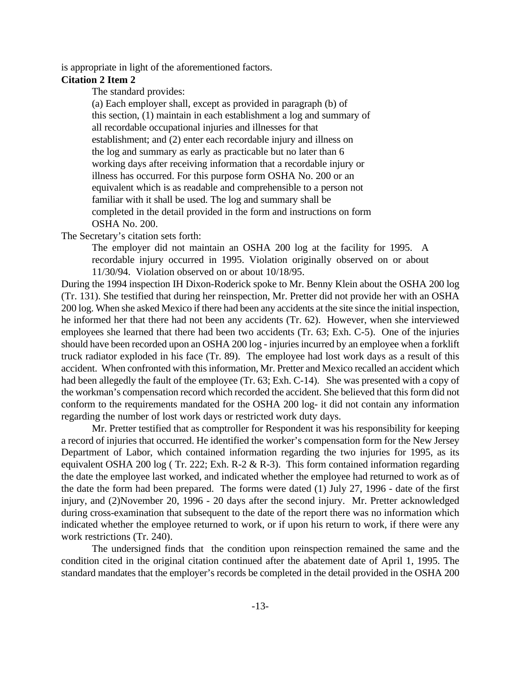is appropriate in light of the aforementioned factors.

### **Citation 2 Item 2**

The standard provides:

(a) Each employer shall, except as provided in paragraph (b) of this section, (1) maintain in each establishment a log and summary of all recordable occupational injuries and illnesses for that establishment; and (2) enter each recordable injury and illness on the log and summary as early as practicable but no later than 6 working days after receiving information that a recordable injury or illness has occurred. For this purpose form OSHA No. 200 or an equivalent which is as readable and comprehensible to a person not familiar with it shall be used. The log and summary shall be completed in the detail provided in the form and instructions on form OSHA No. 200.

The Secretary's citation sets forth:

The employer did not maintain an OSHA 200 log at the facility for 1995. A recordable injury occurred in 1995. Violation originally observed on or about 11/30/94. Violation observed on or about 10/18/95.

During the 1994 inspection IH Dixon-Roderick spoke to Mr. Benny Klein about the OSHA 200 log (Tr. 131). She testified that during her reinspection, Mr. Pretter did not provide her with an OSHA 200 log. When she asked Mexico if there had been any accidents at the site since the initial inspection, he informed her that there had not been any accidents (Tr. 62). However, when she interviewed employees she learned that there had been two accidents (Tr. 63; Exh. C-5). One of the injuries should have been recorded upon an OSHA 200 log - injuries incurred by an employee when a forklift truck radiator exploded in his face (Tr. 89). The employee had lost work days as a result of this accident. When confronted with this information, Mr. Pretter and Mexico recalled an accident which had been allegedly the fault of the employee (Tr. 63; Exh. C-14). She was presented with a copy of the workman's compensation record which recorded the accident. She believed that this form did not conform to the requirements mandated for the OSHA 200 log- it did not contain any information regarding the number of lost work days or restricted work duty days.

Mr. Pretter testified that as comptroller for Respondent it was his responsibility for keeping a record of injuries that occurred. He identified the worker's compensation form for the New Jersey Department of Labor, which contained information regarding the two injuries for 1995, as its equivalent OSHA 200 log ( Tr. 222; Exh. R-2 & R-3). This form contained information regarding the date the employee last worked, and indicated whether the employee had returned to work as of the date the form had been prepared. The forms were dated (1) July 27, 1996 - date of the first injury, and (2)November 20, 1996 - 20 days after the second injury. Mr. Pretter acknowledged during cross-examination that subsequent to the date of the report there was no information which indicated whether the employee returned to work, or if upon his return to work, if there were any work restrictions (Tr. 240).

The undersigned finds that the condition upon reinspection remained the same and the condition cited in the original citation continued after the abatement date of April 1, 1995. The standard mandates that the employer's records be completed in the detail provided in the OSHA 200